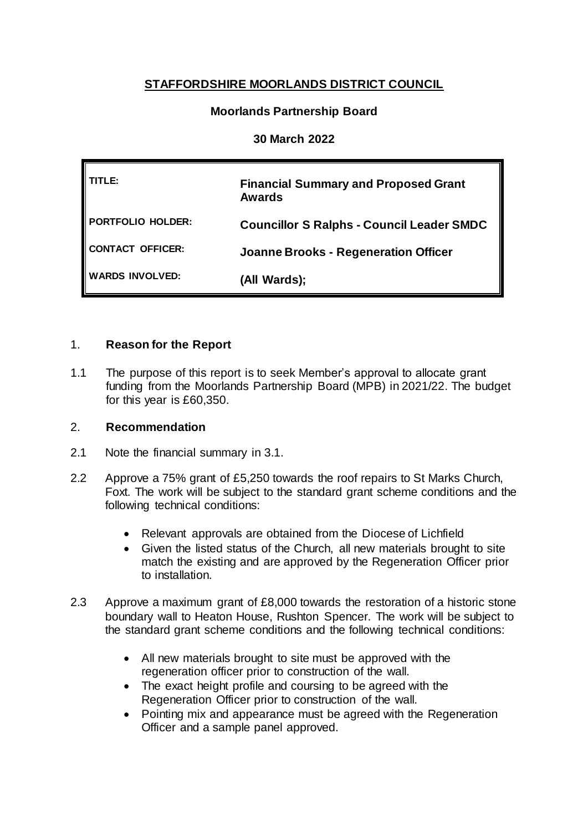# **STAFFORDSHIRE MOORLANDS DISTRICT COUNCIL**

## **Moorlands Partnership Board**

### **30 March 2022**

| TLE:                   | <b>Financial Summary and Proposed Grant</b><br><b>Awards</b> |
|------------------------|--------------------------------------------------------------|
| PORTFOLIO HOLDER:      | <b>Councillor S Ralphs - Council Leader SMDC</b>             |
| CONTACT OFFICER:       | <b>Joanne Brooks - Regeneration Officer</b>                  |
| <b>WARDS INVOLVED:</b> | (All Wards);                                                 |

### 1. **Reason for the Report**

1.1 The purpose of this report is to seek Member's approval to allocate grant funding from the Moorlands Partnership Board (MPB) in 2021/22. The budget for this year is £60,350.

### 2. **Recommendation**

- 2.1 Note the financial summary in 3.1.
- 2.2 Approve a 75% grant of £5,250 towards the roof repairs to St Marks Church, Foxt. The work will be subject to the standard grant scheme conditions and the following technical conditions:
	- Relevant approvals are obtained from the Diocese of Lichfield
	- Given the listed status of the Church, all new materials brought to site match the existing and are approved by the Regeneration Officer prior to installation.
- 2.3 Approve a maximum grant of £8,000 towards the restoration of a historic stone boundary wall to Heaton House, Rushton Spencer. The work will be subject to the standard grant scheme conditions and the following technical conditions:
	- All new materials brought to site must be approved with the regeneration officer prior to construction of the wall.
	- The exact height profile and coursing to be agreed with the Regeneration Officer prior to construction of the wall.
	- Pointing mix and appearance must be agreed with the Regeneration Officer and a sample panel approved.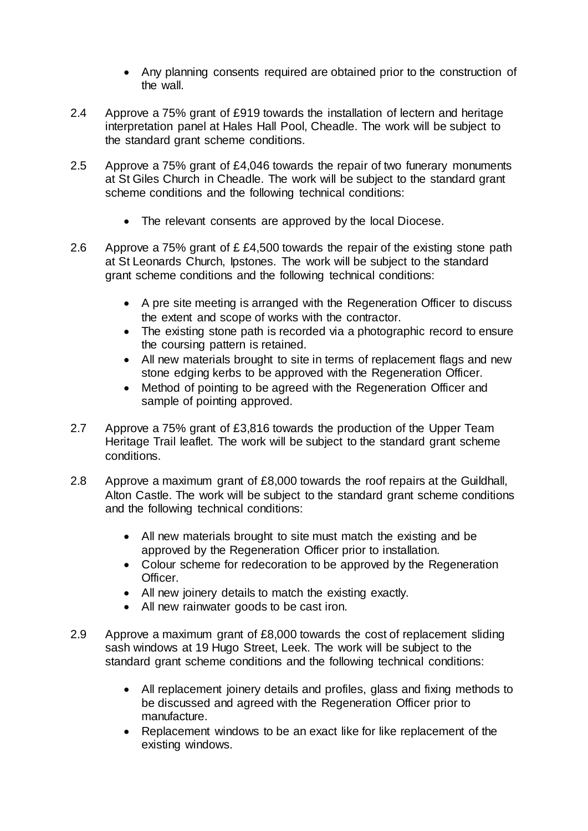- Any planning consents required are obtained prior to the construction of the wall.
- 2.4 Approve a 75% grant of £919 towards the installation of lectern and heritage interpretation panel at Hales Hall Pool, Cheadle. The work will be subject to the standard grant scheme conditions.
- 2.5 Approve a 75% grant of £4,046 towards the repair of two funerary monuments at St Giles Church in Cheadle. The work will be subject to the standard grant scheme conditions and the following technical conditions:
	- The relevant consents are approved by the local Diocese.
- 2.6 Approve a 75% grant of £ £4,500 towards the repair of the existing stone path at St Leonards Church, Ipstones. The work will be subject to the standard grant scheme conditions and the following technical conditions:
	- A pre site meeting is arranged with the Regeneration Officer to discuss the extent and scope of works with the contractor.
	- The existing stone path is recorded via a photographic record to ensure the coursing pattern is retained.
	- All new materials brought to site in terms of replacement flags and new stone edging kerbs to be approved with the Regeneration Officer.
	- Method of pointing to be agreed with the Regeneration Officer and sample of pointing approved.
- 2.7 Approve a 75% grant of £3,816 towards the production of the Upper Team Heritage Trail leaflet. The work will be subject to the standard grant scheme conditions.
- 2.8 Approve a maximum grant of £8,000 towards the roof repairs at the Guildhall, Alton Castle. The work will be subject to the standard grant scheme conditions and the following technical conditions:
	- All new materials brought to site must match the existing and be approved by the Regeneration Officer prior to installation.
	- Colour scheme for redecoration to be approved by the Regeneration Officer.
	- All new joinery details to match the existing exactly.
	- All new rainwater goods to be cast iron.
- 2.9 Approve a maximum grant of £8,000 towards the cost of replacement sliding sash windows at 19 Hugo Street, Leek. The work will be subject to the standard grant scheme conditions and the following technical conditions:
	- All replacement joinery details and profiles, glass and fixing methods to be discussed and agreed with the Regeneration Officer prior to manufacture.
	- Replacement windows to be an exact like for like replacement of the existing windows.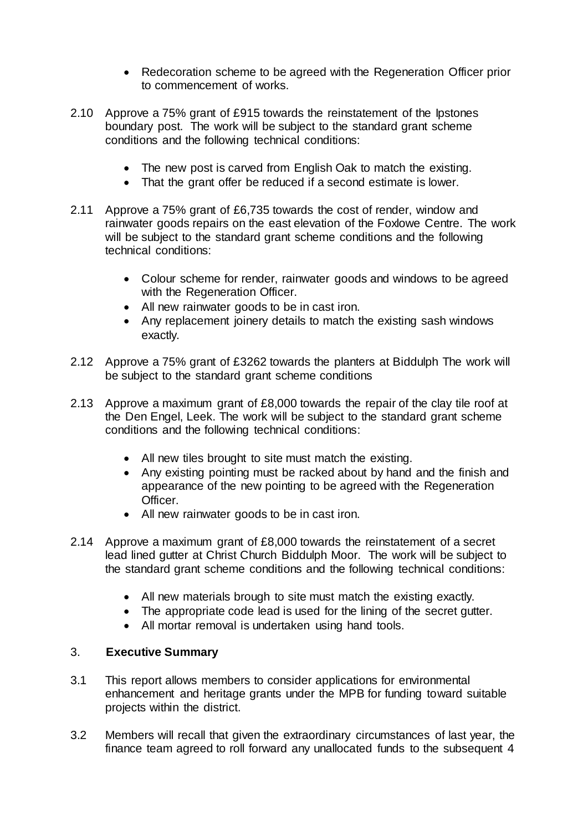- Redecoration scheme to be agreed with the Regeneration Officer prior to commencement of works.
- 2.10 Approve a 75% grant of £915 towards the reinstatement of the Ipstones boundary post. The work will be subject to the standard grant scheme conditions and the following technical conditions:
	- The new post is carved from English Oak to match the existing.
	- That the grant offer be reduced if a second estimate is lower.
- 2.11 Approve a 75% grant of £6,735 towards the cost of render, window and rainwater goods repairs on the east elevation of the Foxlowe Centre. The work will be subject to the standard grant scheme conditions and the following technical conditions:
	- Colour scheme for render, rainwater goods and windows to be agreed with the Regeneration Officer.
	- All new rainwater goods to be in cast iron.
	- Any replacement joinery details to match the existing sash windows exactly.
- 2.12 Approve a 75% grant of £3262 towards the planters at Biddulph The work will be subject to the standard grant scheme conditions
- 2.13 Approve a maximum grant of £8,000 towards the repair of the clay tile roof at the Den Engel, Leek. The work will be subject to the standard grant scheme conditions and the following technical conditions:
	- All new tiles brought to site must match the existing.
	- Any existing pointing must be racked about by hand and the finish and appearance of the new pointing to be agreed with the Regeneration Officer.
	- All new rainwater goods to be in cast iron.
- 2.14 Approve a maximum grant of £8,000 towards the reinstatement of a secret lead lined gutter at Christ Church Biddulph Moor. The work will be subject to the standard grant scheme conditions and the following technical conditions:
	- All new materials brough to site must match the existing exactly.
	- The appropriate code lead is used for the lining of the secret gutter.
	- All mortar removal is undertaken using hand tools.

### 3. **Executive Summary**

- 3.1 This report allows members to consider applications for environmental enhancement and heritage grants under the MPB for funding toward suitable projects within the district.
- 3.2 Members will recall that given the extraordinary circumstances of last year, the finance team agreed to roll forward any unallocated funds to the subsequent 4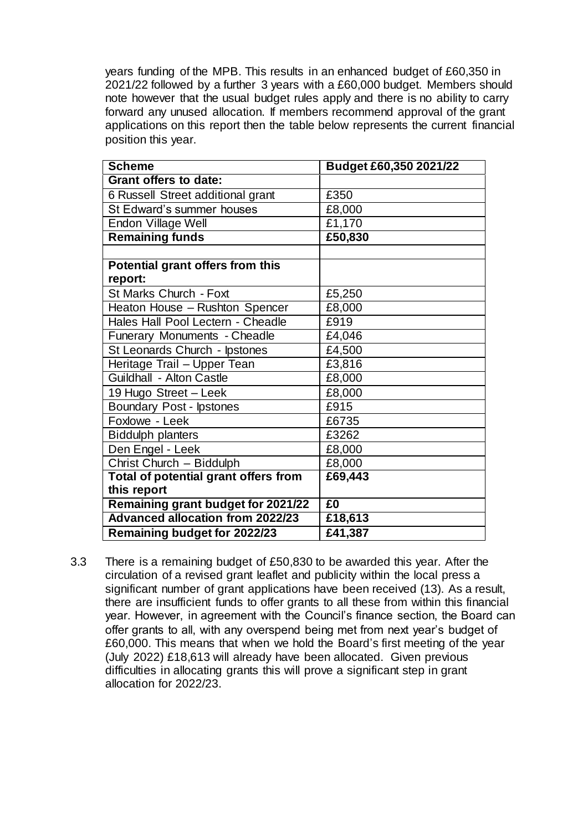years funding of the MPB. This results in an enhanced budget of £60,350 in 2021/22 followed by a further 3 years with a £60,000 budget. Members should note however that the usual budget rules apply and there is no ability to carry forward any unused allocation. If members recommend approval of the grant applications on this report then the table below represents the current financial position this year.

| <b>Scheme</b>                           | Budget £60,350 2021/22 |
|-----------------------------------------|------------------------|
| Grant offers to date:                   |                        |
| 6 Russell Street additional grant       | £350                   |
| St Edward's summer houses               | £8,000                 |
| Endon Village Well                      | £1,170                 |
| <b>Remaining funds</b>                  | £50,830                |
|                                         |                        |
| Potential grant offers from this        |                        |
| report:                                 |                        |
| St Marks Church - Foxt                  | £5,250                 |
| Heaton House - Rushton Spencer          | £8,000                 |
| Hales Hall Pool Lectern - Cheadle       | £919                   |
| Funerary Monuments - Cheadle            | £4,046                 |
| St Leonards Church - Ipstones           | £4,500                 |
| Heritage Trail - Upper Tean             | £3,816                 |
| Guildhall - Alton Castle                | £8,000                 |
| 19 Hugo Street - Leek                   | £8,000                 |
| Boundary Post - Ipstones                | £915                   |
| Foxlowe - Leek                          | £6735                  |
| <b>Biddulph planters</b>                | £3262                  |
| Den Engel - Leek                        | £8,000                 |
| Christ Church - Biddulph                | £8,000                 |
| Total of potential grant offers from    | £69,443                |
| this report                             |                        |
| Remaining grant budget for 2021/22      | £0                     |
| <b>Advanced allocation from 2022/23</b> | £18,613                |
| <b>Remaining budget for 2022/23</b>     | £41,387                |

3.3 There is a remaining budget of £50,830 to be awarded this year. After the circulation of a revised grant leaflet and publicity within the local press a significant number of grant applications have been received (13). As a result, there are insufficient funds to offer grants to all these from within this financial year. However, in agreement with the Council's finance section, the Board can offer grants to all, with any overspend being met from next year's budget of £60,000. This means that when we hold the Board's first meeting of the year (July 2022) £18,613 will already have been allocated. Given previous difficulties in allocating grants this will prove a significant step in grant allocation for 2022/23.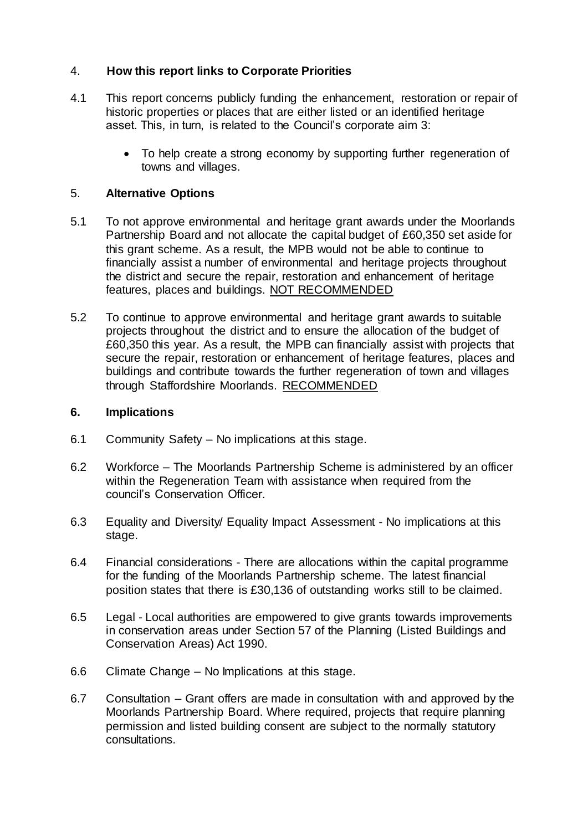## 4. **How this report links to Corporate Priorities**

- 4.1 This report concerns publicly funding the enhancement, restoration or repair of historic properties or places that are either listed or an identified heritage asset. This, in turn, is related to the Council's corporate aim 3:
	- To help create a strong economy by supporting further regeneration of towns and villages.

### 5. **Alternative Options**

- 5.1 To not approve environmental and heritage grant awards under the Moorlands Partnership Board and not allocate the capital budget of £60,350 set aside for this grant scheme. As a result, the MPB would not be able to continue to financially assist a number of environmental and heritage projects throughout the district and secure the repair, restoration and enhancement of heritage features, places and buildings. NOT RECOMMENDED
- 5.2 To continue to approve environmental and heritage grant awards to suitable projects throughout the district and to ensure the allocation of the budget of £60,350 this year. As a result, the MPB can financially assist with projects that secure the repair, restoration or enhancement of heritage features, places and buildings and contribute towards the further regeneration of town and villages through Staffordshire Moorlands. RECOMMENDED

### **6. Implications**

- 6.1 Community Safety No implications at this stage.
- 6.2 Workforce The Moorlands Partnership Scheme is administered by an officer within the Regeneration Team with assistance when required from the council's Conservation Officer.
- 6.3 Equality and Diversity/ Equality Impact Assessment No implications at this stage.
- 6.4 Financial considerations There are allocations within the capital programme for the funding of the Moorlands Partnership scheme. The latest financial position states that there is £30,136 of outstanding works still to be claimed.
- 6.5 Legal Local authorities are empowered to give grants towards improvements in conservation areas under Section 57 of the Planning (Listed Buildings and Conservation Areas) Act 1990.
- 6.6 Climate Change No Implications at this stage.
- 6.7 Consultation Grant offers are made in consultation with and approved by the Moorlands Partnership Board. Where required, projects that require planning permission and listed building consent are subject to the normally statutory consultations.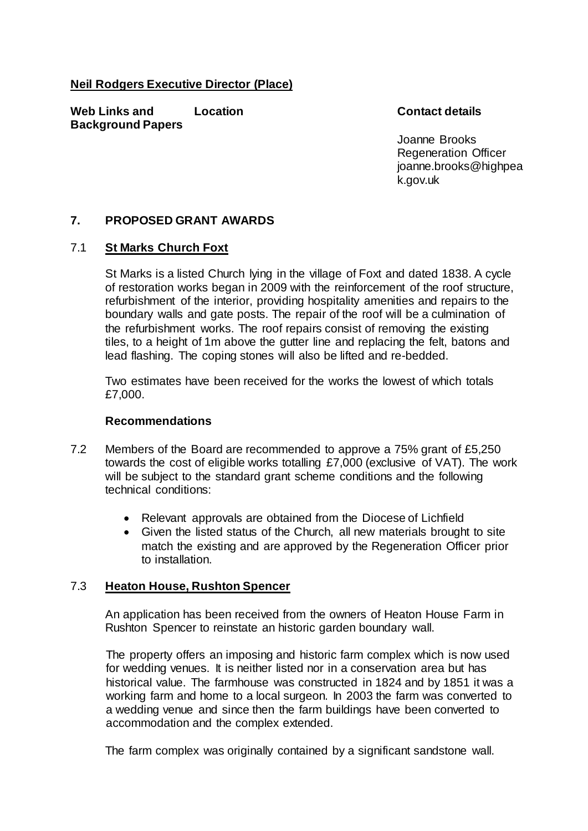### **Neil Rodgers Executive Director (Place)**

**Web Links and Background Papers**

### **Location Contact details**

Joanne Brooks Regeneration Officer joanne.brooks@highpea k.gov.uk

### **7. PROPOSED GRANT AWARDS**

### 7.1 **St Marks Church Foxt**

St Marks is a listed Church lying in the village of Foxt and dated 1838. A cycle of restoration works began in 2009 with the reinforcement of the roof structure, refurbishment of the interior, providing hospitality amenities and repairs to the boundary walls and gate posts. The repair of the roof will be a culmination of the refurbishment works. The roof repairs consist of removing the existing tiles, to a height of 1m above the gutter line and replacing the felt, batons and lead flashing. The coping stones will also be lifted and re-bedded.

Two estimates have been received for the works the lowest of which totals £7,000.

### **Recommendations**

- 7.2 Members of the Board are recommended to approve a 75% grant of £5,250 towards the cost of eligible works totalling £7,000 (exclusive of VAT). The work will be subject to the standard grant scheme conditions and the following technical conditions:
	- Relevant approvals are obtained from the Diocese of Lichfield
	- Given the listed status of the Church, all new materials brought to site match the existing and are approved by the Regeneration Officer prior to installation.

### 7.3 **Heaton House, Rushton Spencer**

An application has been received from the owners of Heaton House Farm in Rushton Spencer to reinstate an historic garden boundary wall.

The property offers an imposing and historic farm complex which is now used for wedding venues. It is neither listed nor in a conservation area but has historical value. The farmhouse was constructed in 1824 and by 1851 it was a working farm and home to a local surgeon. In 2003 the farm was converted to a wedding venue and since then the farm buildings have been converted to accommodation and the complex extended.

The farm complex was originally contained by a significant sandstone wall.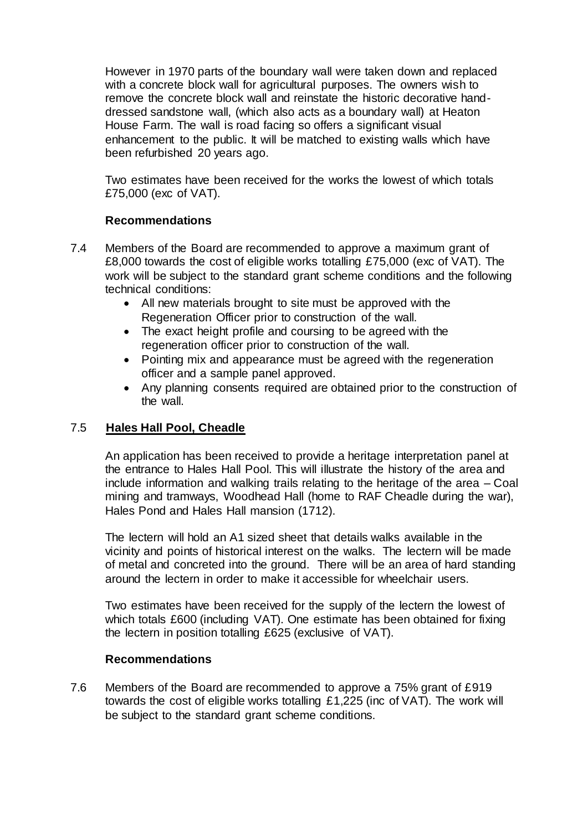However in 1970 parts of the boundary wall were taken down and replaced with a concrete block wall for agricultural purposes. The owners wish to remove the concrete block wall and reinstate the historic decorative handdressed sandstone wall, (which also acts as a boundary wall) at Heaton House Farm. The wall is road facing so offers a significant visual enhancement to the public. It will be matched to existing walls which have been refurbished 20 years ago.

Two estimates have been received for the works the lowest of which totals £75,000 (exc of VAT).

### **Recommendations**

- 7.4 Members of the Board are recommended to approve a maximum grant of £8,000 towards the cost of eligible works totalling £75,000 (exc of VAT). The work will be subject to the standard grant scheme conditions and the following technical conditions:
	- All new materials brought to site must be approved with the Regeneration Officer prior to construction of the wall.
	- The exact height profile and coursing to be agreed with the regeneration officer prior to construction of the wall.
	- Pointing mix and appearance must be agreed with the regeneration officer and a sample panel approved.
	- Any planning consents required are obtained prior to the construction of the wall.

## 7.5 **Hales Hall Pool, Cheadle**

An application has been received to provide a heritage interpretation panel at the entrance to Hales Hall Pool. This will illustrate the history of the area and include information and walking trails relating to the heritage of the area – Coal mining and tramways, Woodhead Hall (home to RAF Cheadle during the war), Hales Pond and Hales Hall mansion (1712).

The lectern will hold an A1 sized sheet that details walks available in the vicinity and points of historical interest on the walks. The lectern will be made of metal and concreted into the ground. There will be an area of hard standing around the lectern in order to make it accessible for wheelchair users.

Two estimates have been received for the supply of the lectern the lowest of which totals £600 (including VAT). One estimate has been obtained for fixing the lectern in position totalling £625 (exclusive of VAT).

### **Recommendations**

7.6 Members of the Board are recommended to approve a 75% grant of £919 towards the cost of eligible works totalling £1,225 (inc of VAT). The work will be subject to the standard grant scheme conditions.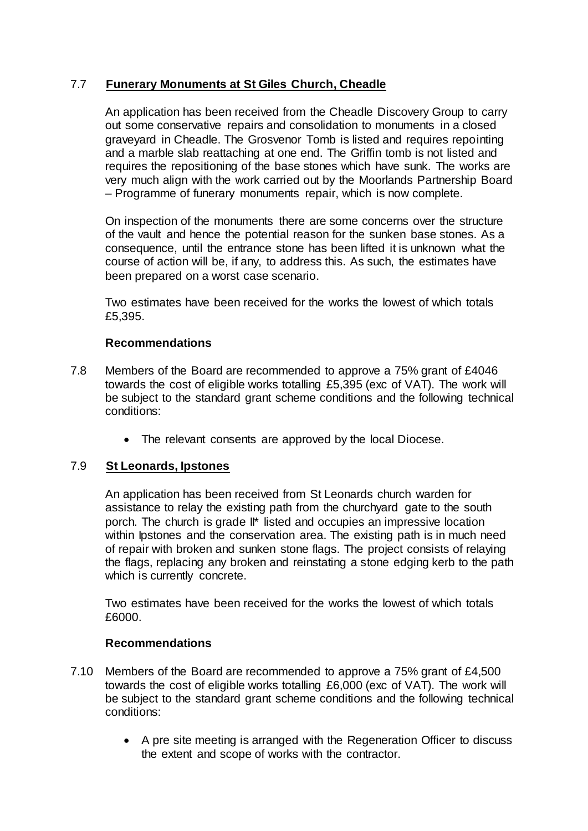## 7.7 **Funerary Monuments at St Giles Church, Cheadle**

An application has been received from the Cheadle Discovery Group to carry out some conservative repairs and consolidation to monuments in a closed graveyard in Cheadle. The Grosvenor Tomb is listed and requires repointing and a marble slab reattaching at one end. The Griffin tomb is not listed and requires the repositioning of the base stones which have sunk. The works are very much align with the work carried out by the Moorlands Partnership Board – Programme of funerary monuments repair, which is now complete.

On inspection of the monuments there are some concerns over the structure of the vault and hence the potential reason for the sunken base stones. As a consequence, until the entrance stone has been lifted it is unknown what the course of action will be, if any, to address this. As such, the estimates have been prepared on a worst case scenario.

Two estimates have been received for the works the lowest of which totals £5,395.

### **Recommendations**

- 7.8 Members of the Board are recommended to approve a 75% grant of £4046 towards the cost of eligible works totalling £5,395 (exc of VAT). The work will be subject to the standard grant scheme conditions and the following technical conditions:
	- The relevant consents are approved by the local Diocese.

## 7.9 **St Leonards, Ipstones**

An application has been received from St Leonards church warden for assistance to relay the existing path from the churchyard gate to the south porch. The church is grade II\* listed and occupies an impressive location within Ipstones and the conservation area. The existing path is in much need of repair with broken and sunken stone flags. The project consists of relaying the flags, replacing any broken and reinstating a stone edging kerb to the path which is currently concrete.

Two estimates have been received for the works the lowest of which totals £6000.

### **Recommendations**

- 7.10 Members of the Board are recommended to approve a 75% grant of £4,500 towards the cost of eligible works totalling £6,000 (exc of VAT). The work will be subject to the standard grant scheme conditions and the following technical conditions:
	- A pre site meeting is arranged with the Regeneration Officer to discuss the extent and scope of works with the contractor.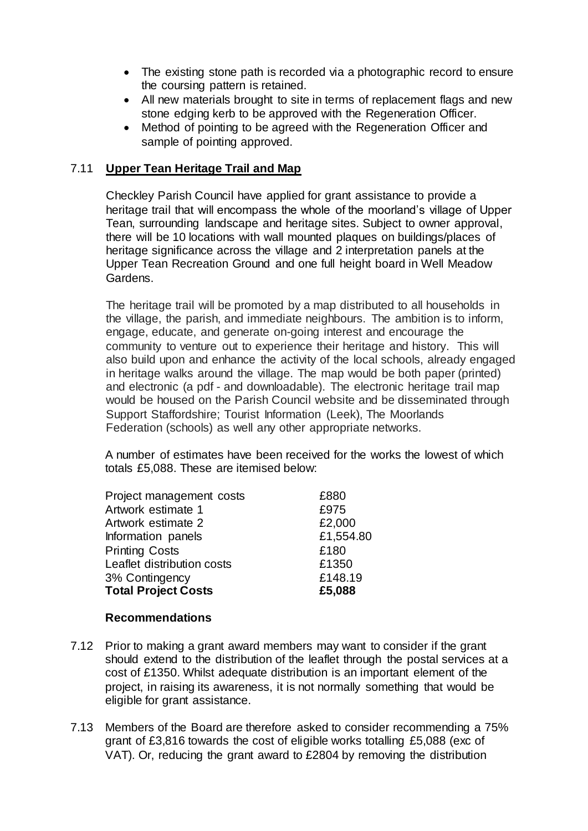- The existing stone path is recorded via a photographic record to ensure the coursing pattern is retained.
- All new materials brought to site in terms of replacement flags and new stone edging kerb to be approved with the Regeneration Officer.
- Method of pointing to be agreed with the Regeneration Officer and sample of pointing approved.

### 7.11 **Upper Tean Heritage Trail and Map**

Checkley Parish Council have applied for grant assistance to provide a heritage trail that will encompass the whole of the moorland's village of Upper Tean, surrounding landscape and heritage sites. Subject to owner approval, there will be 10 locations with wall mounted plaques on buildings/places of heritage significance across the village and 2 interpretation panels at the Upper Tean Recreation Ground and one full height board in Well Meadow Gardens.

The heritage trail will be promoted by a map distributed to all households in the village, the parish, and immediate neighbours. The ambition is to inform, engage, educate, and generate on-going interest and encourage the community to venture out to experience their heritage and history. This will also build upon and enhance the activity of the local schools, already engaged in heritage walks around the village. The map would be both paper (printed) and electronic (a pdf - and downloadable). The electronic heritage trail map would be housed on the Parish Council website and be disseminated through Support Staffordshire; Tourist Information (Leek), The Moorlands Federation (schools) as well any other appropriate networks.

A number of estimates have been received for the works the lowest of which totals £5,088. These are itemised below:

| £880      |
|-----------|
| £975      |
| £2,000    |
| £1,554.80 |
| £180      |
| £1350     |
| £148.19   |
| £5,088    |
|           |

### **Recommendations**

- 7.12 Prior to making a grant award members may want to consider if the grant should extend to the distribution of the leaflet through the postal services at a cost of £1350. Whilst adequate distribution is an important element of the project, in raising its awareness, it is not normally something that would be eligible for grant assistance.
- 7.13 Members of the Board are therefore asked to consider recommending a 75% grant of £3,816 towards the cost of eligible works totalling £5,088 (exc of VAT). Or, reducing the grant award to £2804 by removing the distribution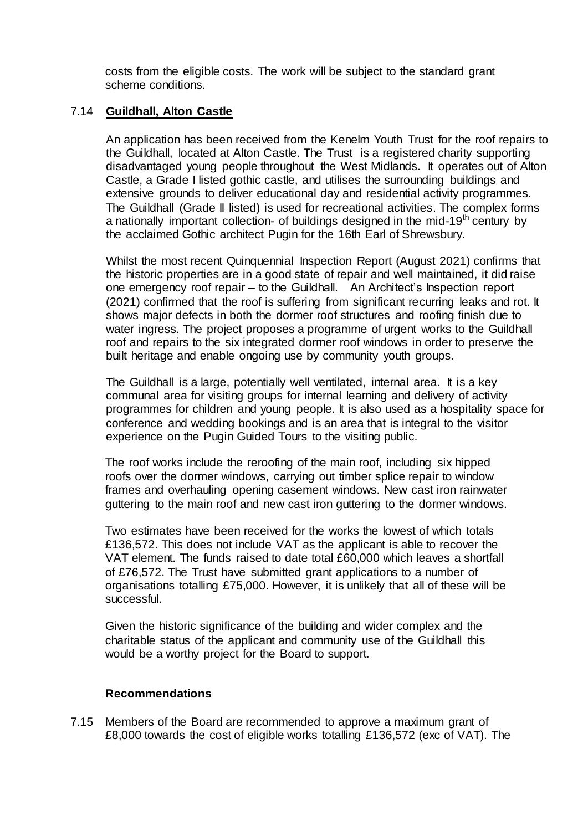costs from the eligible costs. The work will be subject to the standard grant scheme conditions.

#### 7.14 **Guildhall, Alton Castle**

An application has been received from the Kenelm Youth Trust for the roof repairs to the Guildhall, located at Alton Castle. The Trust is a registered charity supporting disadvantaged young people throughout the West Midlands. It operates out of Alton Castle, a Grade I listed gothic castle, and utilises the surrounding buildings and extensive grounds to deliver educational day and residential activity programmes. The Guildhall (Grade II listed) is used for recreational activities. The complex forms a nationally important collection- of buildings designed in the mid-19<sup>th</sup> century by the acclaimed Gothic architect Pugin for the 16th Earl of Shrewsbury.

Whilst the most recent Quinquennial Inspection Report (August 2021) confirms that the historic properties are in a good state of repair and well maintained, it did raise one emergency roof repair – to the Guildhall. An Architect's Inspection report (2021) confirmed that the roof is suffering from significant recurring leaks and rot. It shows major defects in both the dormer roof structures and roofing finish due to water ingress. The project proposes a programme of urgent works to the Guildhall roof and repairs to the six integrated dormer roof windows in order to preserve the built heritage and enable ongoing use by community youth groups.

The Guildhall is a large, potentially well ventilated, internal area. It is a key communal area for visiting groups for internal learning and delivery of activity programmes for children and young people. It is also used as a hospitality space for conference and wedding bookings and is an area that is integral to the visitor experience on the Pugin Guided Tours to the visiting public.

The roof works include the reroofing of the main roof, including six hipped roofs over the dormer windows, carrying out timber splice repair to window frames and overhauling opening casement windows. New cast iron rainwater guttering to the main roof and new cast iron guttering to the dormer windows.

Two estimates have been received for the works the lowest of which totals £136,572. This does not include VAT as the applicant is able to recover the VAT element. The funds raised to date total £60,000 which leaves a shortfall of £76,572. The Trust have submitted grant applications to a number of organisations totalling £75,000. However, it is unlikely that all of these will be successful.

Given the historic significance of the building and wider complex and the charitable status of the applicant and community use of the Guildhall this would be a worthy project for the Board to support.

#### **Recommendations**

7.15 Members of the Board are recommended to approve a maximum grant of £8,000 towards the cost of eligible works totalling £136,572 (exc of VAT). The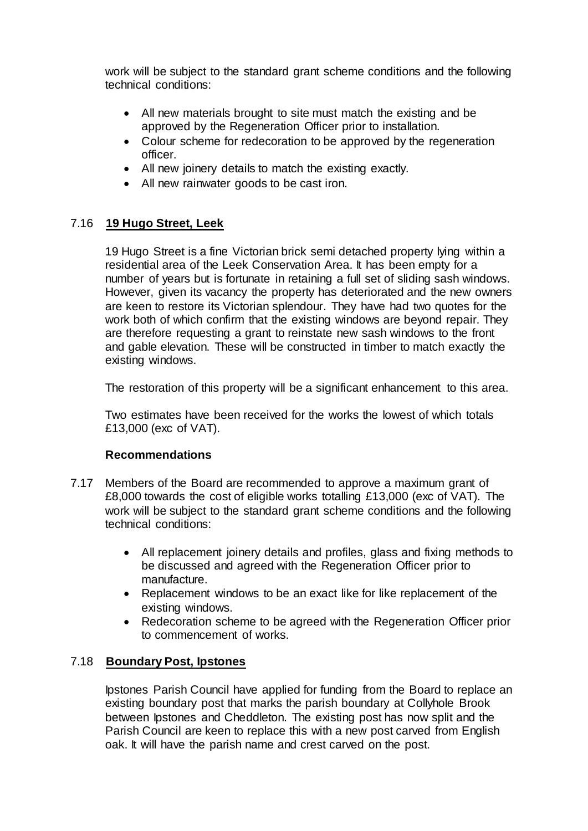work will be subject to the standard grant scheme conditions and the following technical conditions:

- All new materials brought to site must match the existing and be approved by the Regeneration Officer prior to installation.
- Colour scheme for redecoration to be approved by the regeneration officer.
- All new joinery details to match the existing exactly.
- All new rainwater goods to be cast iron.

### 7.16 **19 Hugo Street, Leek**

19 Hugo Street is a fine Victorian brick semi detached property lying within a residential area of the Leek Conservation Area. It has been empty for a number of years but is fortunate in retaining a full set of sliding sash windows. However, given its vacancy the property has deteriorated and the new owners are keen to restore its Victorian splendour. They have had two quotes for the work both of which confirm that the existing windows are beyond repair. They are therefore requesting a grant to reinstate new sash windows to the front and gable elevation. These will be constructed in timber to match exactly the existing windows.

The restoration of this property will be a significant enhancement to this area.

Two estimates have been received for the works the lowest of which totals £13,000 (exc of VAT).

### **Recommendations**

- 7.17 Members of the Board are recommended to approve a maximum grant of £8,000 towards the cost of eligible works totalling £13,000 (exc of VAT). The work will be subject to the standard grant scheme conditions and the following technical conditions:
	- All replacement joinery details and profiles, glass and fixing methods to be discussed and agreed with the Regeneration Officer prior to manufacture.
	- Replacement windows to be an exact like for like replacement of the existing windows.
	- Redecoration scheme to be agreed with the Regeneration Officer prior to commencement of works.

### 7.18 **Boundary Post, Ipstones**

Ipstones Parish Council have applied for funding from the Board to replace an existing boundary post that marks the parish boundary at Collyhole Brook between Ipstones and Cheddleton. The existing post has now split and the Parish Council are keen to replace this with a new post carved from English oak. It will have the parish name and crest carved on the post.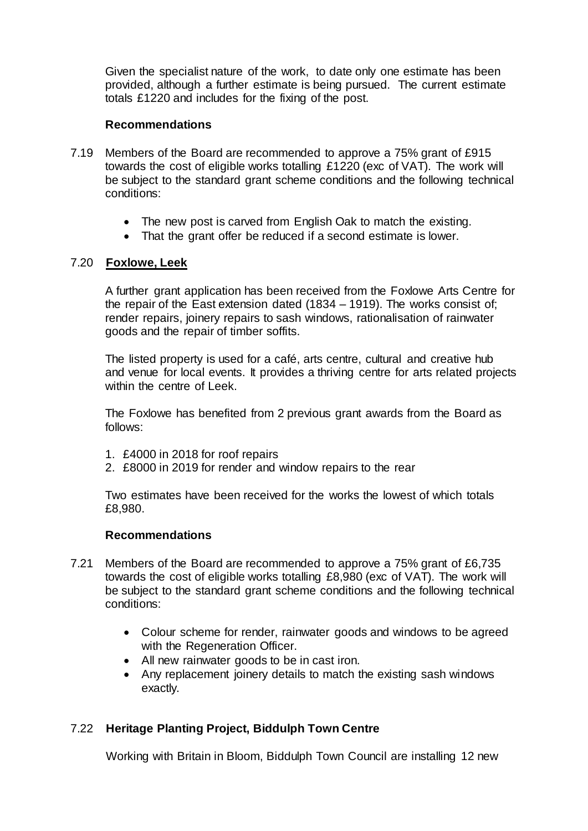Given the specialist nature of the work, to date only one estimate has been provided, although a further estimate is being pursued. The current estimate totals £1220 and includes for the fixing of the post.

#### **Recommendations**

- 7.19 Members of the Board are recommended to approve a 75% grant of £915 towards the cost of eligible works totalling £1220 (exc of VAT). The work will be subject to the standard grant scheme conditions and the following technical conditions:
	- The new post is carved from English Oak to match the existing.
	- That the grant offer be reduced if a second estimate is lower.

### 7.20 **Foxlowe, Leek**

A further grant application has been received from the Foxlowe Arts Centre for the repair of the East extension dated (1834 – 1919). The works consist of; render repairs, joinery repairs to sash windows, rationalisation of rainwater goods and the repair of timber soffits.

The listed property is used for a café, arts centre, cultural and creative hub and venue for local events. It provides a thriving centre for arts related projects within the centre of Leek.

The Foxlowe has benefited from 2 previous grant awards from the Board as follows:

- 1. £4000 in 2018 for roof repairs
- 2. £8000 in 2019 for render and window repairs to the rear

Two estimates have been received for the works the lowest of which totals £8,980.

### **Recommendations**

- 7.21 Members of the Board are recommended to approve a 75% grant of £6,735 towards the cost of eligible works totalling £8,980 (exc of VAT). The work will be subject to the standard grant scheme conditions and the following technical conditions:
	- Colour scheme for render, rainwater goods and windows to be agreed with the Regeneration Officer.
	- All new rainwater goods to be in cast iron.
	- Any replacement joinery details to match the existing sash windows exactly.

### 7.22 **Heritage Planting Project, Biddulph Town Centre**

Working with Britain in Bloom, Biddulph Town Council are installing 12 new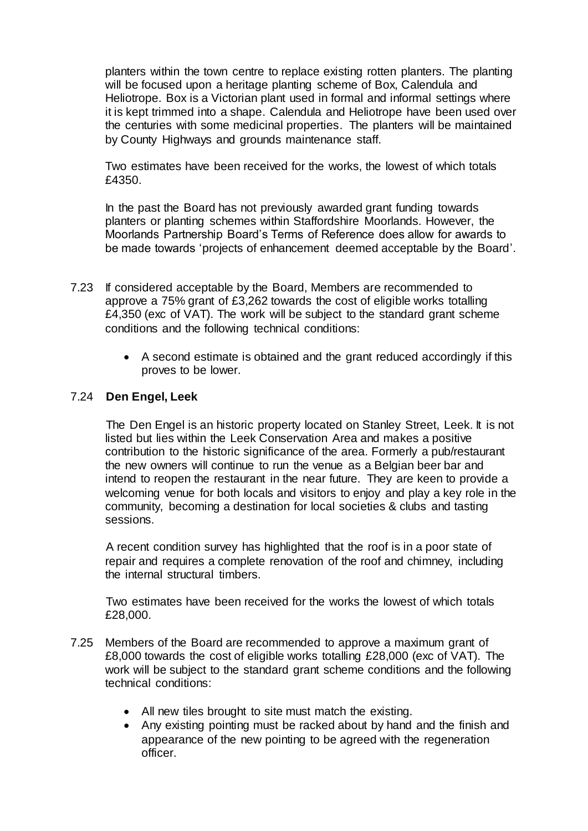planters within the town centre to replace existing rotten planters. The planting will be focused upon a heritage planting scheme of Box, Calendula and Heliotrope. Box is a Victorian plant used in formal and informal settings where it is kept trimmed into a shape. Calendula and Heliotrope have been used over the centuries with some medicinal properties. The planters will be maintained by County Highways and grounds maintenance staff.

Two estimates have been received for the works, the lowest of which totals £4350.

In the past the Board has not previously awarded grant funding towards planters or planting schemes within Staffordshire Moorlands. However, the Moorlands Partnership Board's Terms of Reference does allow for awards to be made towards 'projects of enhancement deemed acceptable by the Board'.

- 7.23 If considered acceptable by the Board, Members are recommended to approve a 75% grant of £3,262 towards the cost of eligible works totalling £4,350 (exc of VAT). The work will be subject to the standard grant scheme conditions and the following technical conditions:
	- A second estimate is obtained and the grant reduced accordingly if this proves to be lower.

### 7.24 **Den Engel, Leek**

The Den Engel is an historic property located on Stanley Street, Leek. It is not listed but lies within the Leek Conservation Area and makes a positive contribution to the historic significance of the area. Formerly a pub/restaurant the new owners will continue to run the venue as a Belgian beer bar and intend to reopen the restaurant in the near future. They are keen to provide a welcoming venue for both locals and visitors to enjoy and play a key role in the community, becoming a destination for local societies & clubs and tasting sessions.

A recent condition survey has highlighted that the roof is in a poor state of repair and requires a complete renovation of the roof and chimney, including the internal structural timbers.

Two estimates have been received for the works the lowest of which totals £28,000.

- 7.25 Members of the Board are recommended to approve a maximum grant of £8,000 towards the cost of eligible works totalling £28,000 (exc of VAT). The work will be subject to the standard grant scheme conditions and the following technical conditions:
	- All new tiles brought to site must match the existing.
	- Any existing pointing must be racked about by hand and the finish and appearance of the new pointing to be agreed with the regeneration officer.